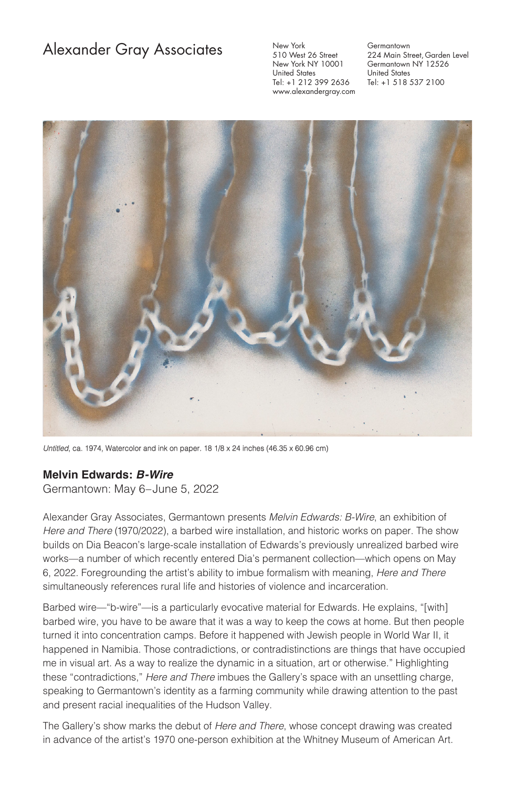## Alexander Gray Associates

New York 510 West 26 Street New York NY 10001 United States Tel: +1 212 399 2636 www.alexandergray.com

**Germantown** 224 Main Street, Garden Level Germantown NY 12526 United States Tel: +1 518 537 2100



*Untitled*, ca. 1974, Watercolor and ink on paper. 18 1/8 x 24 inches (46.35 x 60.96 cm)

## **Melvin Edwards: B-Wire**

Germantown: May 6–June 5, 2022

Alexander Gray Associates, Germantown presents *Melvin Edwards: B-Wire*, an exhibition of *Here and There* (1970/2022), a barbed wire installation, and historic works on paper. The show builds on Dia Beacon's large-scale installation of Edwards's previously unrealized barbed wire works—a number of which recently entered Dia's permanent collection—which opens on May 6, 2022. Foregrounding the artist's ability to imbue formalism with meaning, *Here and There* simultaneously references rural life and histories of violence and incarceration.

Barbed wire—"b-wire"—is a particularly evocative material for Edwards. He explains, "[with] barbed wire, you have to be aware that it was a way to keep the cows at home. But then people turned it into concentration camps. Before it happened with Jewish people in World War II, it happened in Namibia. Those contradictions, or contradistinctions are things that have occupied me in visual art. As a way to realize the dynamic in a situation, art or otherwise." Highlighting these "contradictions," *Here and There* imbues the Gallery's space with an unsettling charge, speaking to Germantown's identity as a farming community while drawing attention to the past and present racial inequalities of the Hudson Valley.

The Gallery's show marks the debut of *Here and There*, whose concept drawing was created in advance of the artist's 1970 one-person exhibition at the Whitney Museum of American Art.